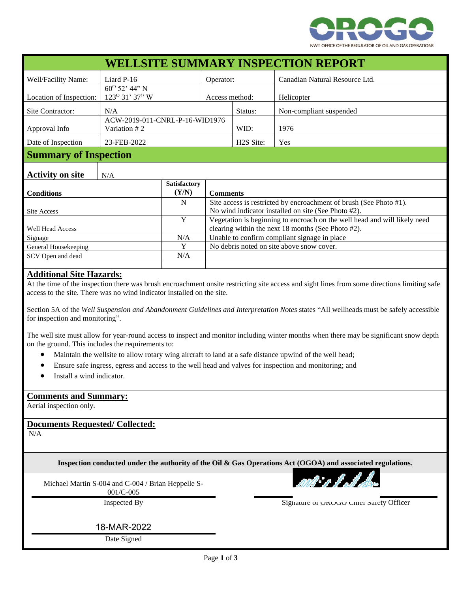

| <b>WELLSITE SUMMARY INSPECTION REPORT</b> |                                                |                              |                                                                                                                                 |                                              |                                |  |
|-------------------------------------------|------------------------------------------------|------------------------------|---------------------------------------------------------------------------------------------------------------------------------|----------------------------------------------|--------------------------------|--|
| Well/Facility Name:                       | Liard $P-16$                                   |                              | Operator:                                                                                                                       |                                              | Canadian Natural Resource Ltd. |  |
|                                           | $60^{\rm o}$ 52' 44" N                         |                              |                                                                                                                                 |                                              |                                |  |
| Location of Inspection:                   | 123° 31' 37" W                                 |                              | Access method:                                                                                                                  |                                              | Helicopter                     |  |
| Site Contractor:                          | N/A                                            |                              |                                                                                                                                 | Status:                                      | Non-compliant suspended        |  |
| Approval Info                             | ACW-2019-011-CNRL-P-16-WID1976<br>Variation #2 |                              |                                                                                                                                 | WID:                                         | 1976                           |  |
| Date of Inspection                        | 23-FEB-2022                                    |                              |                                                                                                                                 | H <sub>2</sub> S Site:                       | Yes                            |  |
| <b>Summary of Inspection</b>              |                                                |                              |                                                                                                                                 |                                              |                                |  |
| <b>Activity on site</b>                   | N/A                                            |                              |                                                                                                                                 |                                              |                                |  |
| <b>Conditions</b>                         |                                                | <b>Satisfactory</b><br>(Y/N) |                                                                                                                                 | <b>Comments</b>                              |                                |  |
| <b>Site Access</b>                        |                                                | N                            | Site access is restricted by encroachment of brush (See Photo #1).<br>No wind indicator installed on site (See Photo #2).       |                                              |                                |  |
| <b>Well Head Access</b>                   |                                                | Y                            | Vegetation is beginning to encroach on the well head and will likely need<br>clearing within the next 18 months (See Photo #2). |                                              |                                |  |
| Signage                                   |                                                | N/A                          |                                                                                                                                 | Unable to confirm compliant signage in place |                                |  |
| General Housekeeping                      |                                                | Y                            | No debris noted on site above snow cover.                                                                                       |                                              |                                |  |
| SCV Open and dead                         |                                                | N/A                          |                                                                                                                                 |                                              |                                |  |
|                                           |                                                |                              |                                                                                                                                 |                                              |                                |  |
| Additional City Hazarda,                  |                                                |                              |                                                                                                                                 |                                              |                                |  |

## **Additional Site Hazards:**

At the time of the inspection there was brush encroachment onsite restricting site access and sight lines from some directions limiting safe access to the site. There was no wind indicator installed on the site.

Section 5A of the *Well Suspension and Abandonment Guidelines and Interpretation Notes* states "All wellheads must be safely accessible for inspection and monitoring".

The well site must allow for year-round access to inspect and monitor including winter months when there may be significant snow depth on the ground. This includes the requirements to:

- Maintain the wellsite to allow rotary wing aircraft to land at a safe distance upwind of the well head;
- Ensure safe ingress, egress and access to the well head and valves for inspection and monitoring; and
- Install a wind indicator.

## **Comments and Summary:**

Aerial inspection only.

**Documents Requested/ Collected:**

N/A

**Inspection conducted under the authority of the Oil & Gas Operations Act (OGOA) and associated regulations.**

Michael Martin S-004 and C-004 / Brian Heppelle S-

001/C-005

Inspected By Signature of OROGO Chief Safety Officer

18-MAR-2022

Date Signed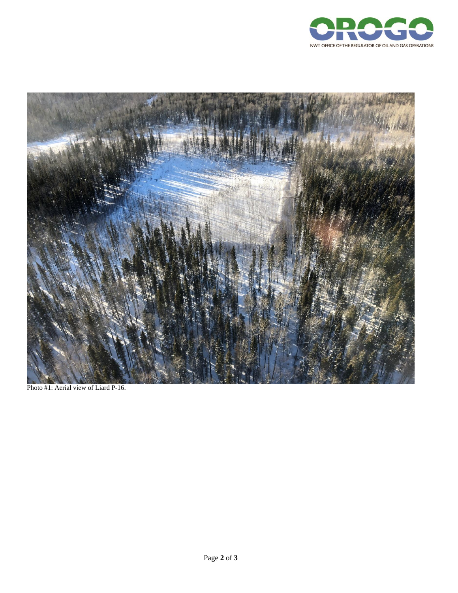



Photo #1: Aerial view of Liard P-16.